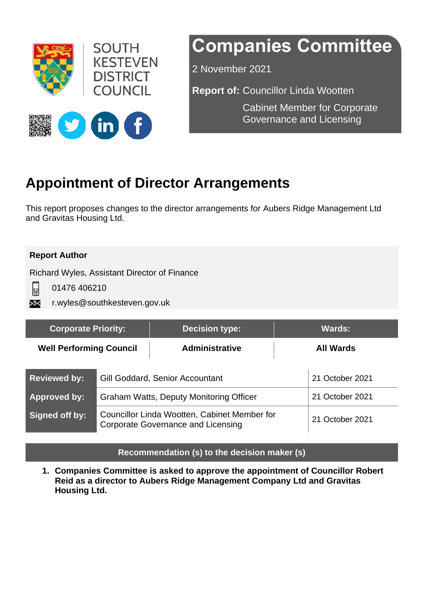

# **Companies Committee**

2 November 2021

**Report of:** Councillor Linda Wootten

Cabinet Member for Corporate Governance and Licensing



# **Appointment of Director Arrangements**

This report proposes changes to the director arrangements for Aubers Ridge Management Ltd and Gravitas Housing Ltd.

#### **Report Author**

Richard Wyles, Assistant Director of Finance

 $\Box$ 

01476 406210

r.wyles@southkesteven.gov.uk XX

| <b>Corporate Priority:</b>     |                                                                                           | <b>Decision type:</b> | <b>Wards:</b>    |                 |
|--------------------------------|-------------------------------------------------------------------------------------------|-----------------------|------------------|-----------------|
| <b>Well Performing Council</b> |                                                                                           | <b>Administrative</b> | <b>All Wards</b> |                 |
| <b>Reviewed by:</b>            | Gill Goddard, Senior Accountant                                                           |                       | 21 October 2021  |                 |
| <b>Approved by:</b>            | Graham Watts, Deputy Monitoring Officer                                                   |                       |                  | 21 October 2021 |
| Signed off by:                 | Councillor Linda Wootten, Cabinet Member for<br><b>Corporate Governance and Licensing</b> |                       |                  | 21 October 2021 |

#### **Recommendation (s) to the decision maker (s)**

**1. Companies Committee is asked to approve the appointment of Councillor Robert Reid as a director to Aubers Ridge Management Company Ltd and Gravitas Housing Ltd.**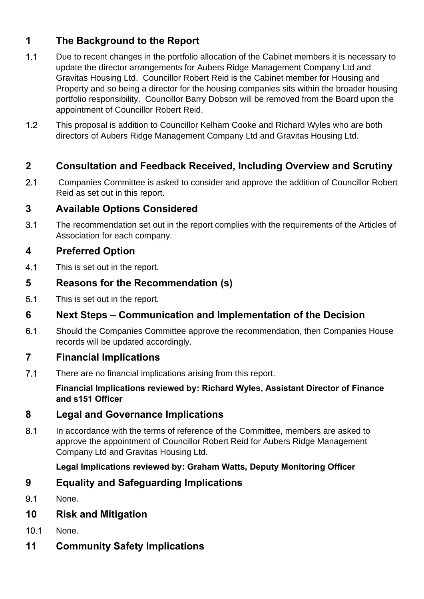# **1 The Background to the Report**

- 1.1 Due to recent changes in the portfolio allocation of the Cabinet members it is necessary to update the director arrangements for Aubers Ridge Management Company Ltd and Gravitas Housing Ltd. Councillor Robert Reid is the Cabinet member for Housing and Property and so being a director for the housing companies sits within the broader housing portfolio responsibility. Councillor Barry Dobson will be removed from the Board upon the appointment of Councillor Robert Reid.
- 1.2 This proposal is addition to Councillor Kelham Cooke and Richard Wyles who are both directors of Aubers Ridge Management Company Ltd and Gravitas Housing Ltd.

# **2 Consultation and Feedback Received, Including Overview and Scrutiny**

2.1 Companies Committee is asked to consider and approve the addition of Councillor Robert Reid as set out in this report.

# **3 Available Options Considered**

3.1 The recommendation set out in the report complies with the requirements of the Articles of Association for each company.

# **4 Preferred Option**

4.1 This is set out in the report.

### **5 Reasons for the Recommendation (s)**

5.1 This is set out in the report.

# **6 Next Steps – Communication and Implementation of the Decision**

6.1 Should the Companies Committee approve the recommendation, then Companies House records will be updated accordingly.

# **7 Financial Implications**

7.1 There are no financial implications arising from this report.

**Financial Implications reviewed by: Richard Wyles, Assistant Director of Finance and s151 Officer** 

#### **8 Legal and Governance Implications**

8.1 In accordance with the terms of reference of the Committee, members are asked to approve the appointment of Councillor Robert Reid for Aubers Ridge Management Company Ltd and Gravitas Housing Ltd.

#### **Legal Implications reviewed by: Graham Watts, Deputy Monitoring Officer**

# **9 Equality and Safeguarding Implications**

9.1 None.

# **10 Risk and Mitigation**

- 10.1 None.
- **11 Community Safety Implications**